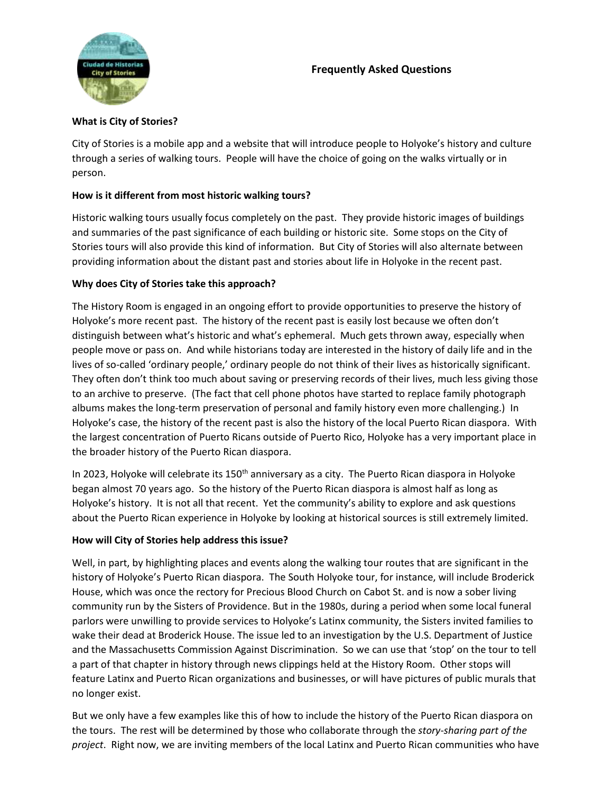# **Frequently Asked Questions**



#### **What is City of Stories?**

City of Stories is a mobile app and a website that will introduce people to Holyoke's history and culture through a series of walking tours. People will have the choice of going on the walks virtually or in person.

### **How is it different from most historic walking tours?**

Historic walking tours usually focus completely on the past. They provide historic images of buildings and summaries of the past significance of each building or historic site. Some stops on the City of Stories tours will also provide this kind of information. But City of Stories will also alternate between providing information about the distant past and stories about life in Holyoke in the recent past.

#### **Why does City of Stories take this approach?**

The History Room is engaged in an ongoing effort to provide opportunities to preserve the history of Holyoke's more recent past. The history of the recent past is easily lost because we often don't distinguish between what's historic and what's ephemeral. Much gets thrown away, especially when people move or pass on. And while historians today are interested in the history of daily life and in the lives of so-called 'ordinary people,' ordinary people do not think of their lives as historically significant. They often don't think too much about saving or preserving records of their lives, much less giving those to an archive to preserve. (The fact that cell phone photos have started to replace family photograph albums makes the long-term preservation of personal and family history even more challenging.) In Holyoke's case, the history of the recent past is also the history of the local Puerto Rican diaspora. With the largest concentration of Puerto Ricans outside of Puerto Rico, Holyoke has a very important place in the broader history of the Puerto Rican diaspora.

In 2023, Holyoke will celebrate its  $150<sup>th</sup>$  anniversary as a city. The Puerto Rican diaspora in Holyoke began almost 70 years ago. So the history of the Puerto Rican diaspora is almost half as long as Holyoke's history. It is not all that recent. Yet the community's ability to explore and ask questions about the Puerto Rican experience in Holyoke by looking at historical sources is still extremely limited.

### **How will City of Stories help address this issue?**

Well, in part, by highlighting places and events along the walking tour routes that are significant in the history of Holyoke's Puerto Rican diaspora. The South Holyoke tour, for instance, will include Broderick House, which was once the rectory for Precious Blood Church on Cabot St. and is now a sober living community run by the Sisters of Providence. But in the 1980s, during a period when some local funeral parlors were unwilling to provide services to Holyoke's Latinx community, the Sisters invited families to wake their dead at Broderick House. The issue led to an investigation by the U.S. Department of Justice and the Massachusetts Commission Against Discrimination. So we can use that 'stop' on the tour to tell a part of that chapter in history through news clippings held at the History Room. Other stops will feature Latinx and Puerto Rican organizations and businesses, or will have pictures of public murals that no longer exist.

But we only have a few examples like this of how to include the history of the Puerto Rican diaspora on the tours. The rest will be determined by those who collaborate through the *story-sharing part of the project*. Right now, we are inviting members of the local Latinx and Puerto Rican communities who have